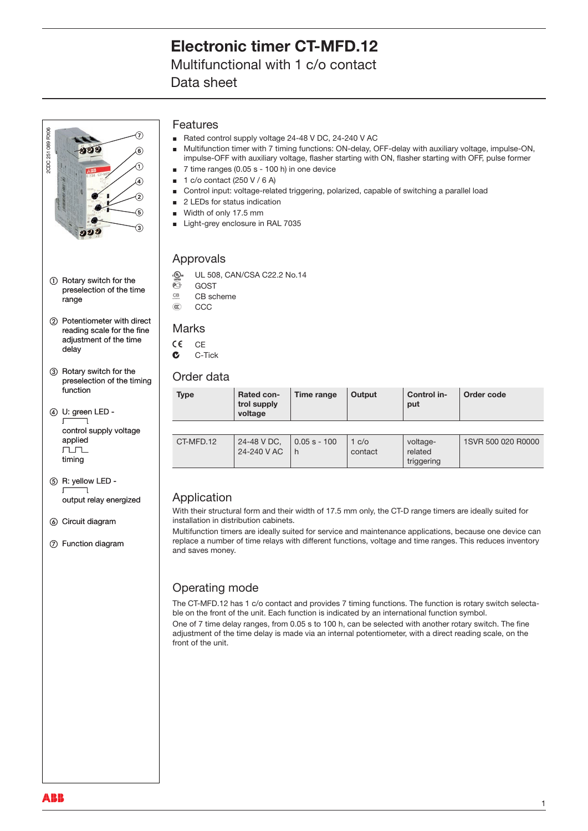## Multifunctional with 1 c/o contact

Data sheet



- 1) Rotary switch for the preselection of the time range
- (2) Potentiometer with direct reading scale for the fine adjustment of the time delay
- (3) Rotary switch for the preselection of the timing function
- (4) U: green LED - $\sqrt{ }$ control supply voltage applied  $\Gamma$ timing
- e R: yellow LED ‑  $\begin{array}{ccc} \overline{ \phantom{a} } & \overline{ \phantom{a} } \end{array}$ output relay energized
- **6** Circuit diagram
- g Function diagram

### Features

- Rated control supply voltage 24‑48 V DC, 24‑240 V AC  $\blacksquare$
- Multifunction timer with 7 timing functions: ON-delay, OFF-delay with auxiliary voltage, impulse-ON, impulse-OFF with auxiliary voltage, flasher starting with ON, flasher starting with OFF, pulse former 7 time ranges (0.05 s ‑ 100 h) in one device Ė  $\blacksquare$
- 1 c/o contact (250 V / 6 A) à.
- Control input: voltage‑related triggering, polarized, capable of switching a parallel load  $\blacksquare$
- 2 LEDs for status indication  $\blacksquare$
- Width of only 17.5 mm
- Light-grey enclosure in RAL 7035

### Approvals

- ୍ଭ୍ଲୁ UL 508, CAN/CSA C22.2 No.14<br>©ି GOST
- <sup>O</sup> GOST<br><sup>GB</sup> CB scl
- $\frac{CB}{AC}$  CB scheme
- C<sub>C</sub>C

### **Marks**

- $C \in C$ F
- $C -$ Tick

### Order data

| <b>Type</b> | <b>Rated con-</b><br>trol supply<br>voltage | Time range          | Output           | Control in-<br>put                | Order code         |
|-------------|---------------------------------------------|---------------------|------------------|-----------------------------------|--------------------|
|             |                                             |                     |                  |                                   |                    |
| CT-MFD.12   | 24-48 V DC,<br>24-240 V AC                  | $0.05 s - 100$<br>h | 1 c/o<br>contact | voltage-<br>related<br>triggering | 1SVR 500 020 R0000 |

## Application

With their structural form and their width of 17.5 mm only, the CT‑D range timers are ideally suited for installation in distribution cabinets.

Multifunction timers are ideally suited for service and maintenance applications, because one device can replace a number of time relays with different functions, voltage and time ranges. This reduces inventory and saves money.

## Operating mode

The CT-MFD.12 has 1 c/o contact and provides 7 timing functions. The function is rotary switch selectable on the front of the unit. Each function is indicated by an international function symbol. One of 7 time delay ranges, from 0.05 s to 100 h, can be selected with another rotary switch. The fine adjustment of the time delay is made via an internal potentiometer, with a direct reading scale, on the front of the unit.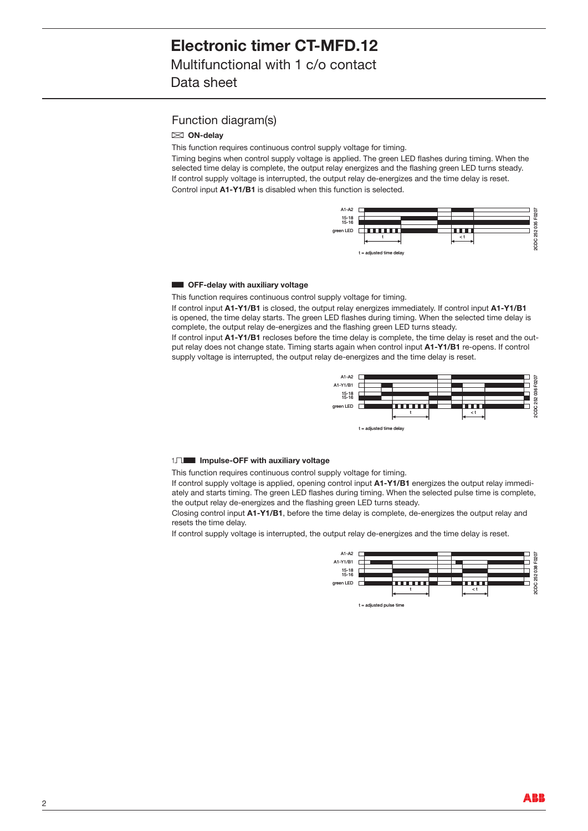### Function diagram(s)

#### A **ON-delay**

This function requires continuous control supply voltage for timing.

Timing begins when control supply voltage is applied. The green LED flashes during timing. When the selected time delay is complete, the output relay energizes and the flashing green LED turns steady. If control supply voltage is interrupted, the output relay de-energizes and the time delay is reset. Control input **A1-Y1/B1** is disabled when this function is selected.



#### **B OFF-delay with auxiliary voltage**

This function requires continuous control supply voltage for timing.

If control input **A1-Y1/B1** is closed, the output relay energizes immediately. If control input **A1-Y1/B1** is opened, the time delay starts. The green LED flashes during timing. When the selected time delay is complete, the output relay de‑energizes and the flashing green LED turns steady.

If control input A1-Y1/B1 recloses before the time delay is complete, the time delay is reset and the output relay does not change state. Timing starts again when control input A1-Y1/B1 re-opens. If control supply voltage is interrupted, the output relay de-energizes and the time delay is reset.



#### 1 $\Pi$  **Impulse-OFF with auxiliary voltage**

This function requires continuous control supply voltage for timing.

If control supply voltage is applied, opening control input  $A1-Y1/B1$  energizes the output relay immediately and starts timing. The green LED flashes during timing. When the selected pulse time is complete, the output relay de-energizes and the flashing green LED turns steady.

Closing control input **A1-Y1/B1**, before the time delay is complete, de‑energizes the output relay and resets the time delay.

If control supply voltage is interrupted, the output relay de‑energizes and the time delay is reset.

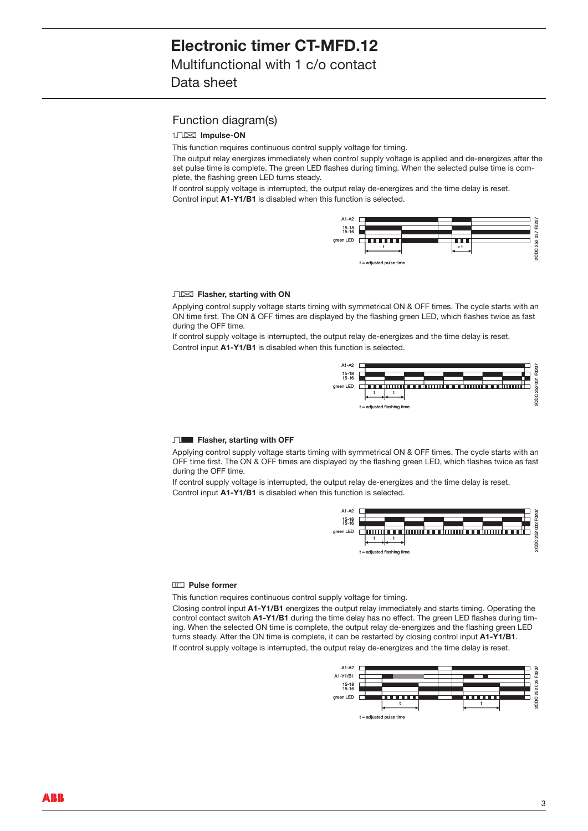Multifunctional with 1 c/o contact

Data sheet

### Function diagram(s)

CA **Impulse-ON** 

This function requires continuous control supply voltage for timing.

The output relay energizes immediately when control supply voltage is applied and de‑energizes after the set pulse time is complete. The green LED flashes during timing. When the selected pulse time is complete, the flashing green LED turns steady.

If control supply voltage is interrupted, the output relay de-energizes and the time delay is reset. Control input **A1-Y1/B1** is disabled when this function is selected.



#### DA **Flasher, starting with ON**

Applying control supply voltage starts timing with symmetrical ON & OFF times. The cycle starts with an ON time first. The ON & OFF times are displayed by the flashing green LED, which flashes twice as fast during the OFF time.

If control supply voltage is interrupted, the output relay de‑energizes and the time delay is reset. Control input **A1-Y1/B1** is disabled when this function is selected.



#### **DB** Flasher, starting with OFF

Applying control supply voltage starts timing with symmetrical ON & OFF times. The cycle starts with an OFF time first. The ON & OFF times are displayed by the flashing green LED, which flashes twice as fast during the OFF time.

If control supply voltage is interrupted, the output relay de-energizes and the time delay is reset. Control input **A1-Y1/B1** is disabled when this function is selected.



#### **H<sub>III</sub>** Pulse former

This function requires continuous control supply voltage for timing.

Closing control input **A1-Y1/B1** energizes the output relay immediately and starts timing. Operating the control contact switch A1-Y1/B1 during the time delay has no effect. The green LED flashes during timing. When the selected ON time is complete, the output relay de‑energizes and the flashing green LED turns steady. After the ON time is complete, it can be restarted by closing control input **A1-Y1/B1**. If control supply voltage is interrupted, the output relay de-energizes and the time delay is reset.

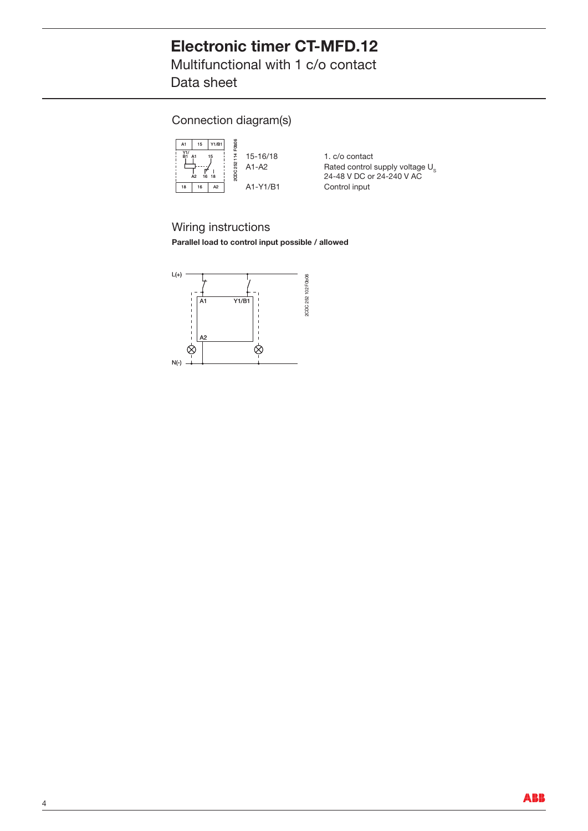Multifunctional with 1 c/o contact Data sheet

Connection diagram(s)



15‐16/18 1. c/o contact<br>A1‐A2 Rated control s Rated control supply voltage  $U_s$ 24‑48 V DC or 24‑240 V AC A1‑Y1/B1 Control input

Wiring instructions

**Parallel load to control input possible / allowed**

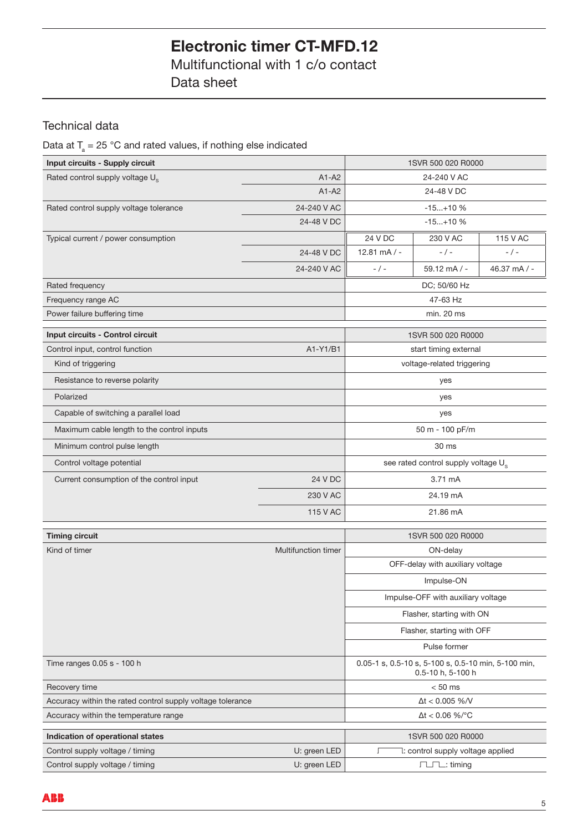Multifunctional with 1 c/o contact Data sheet

## Technical data

## Data at  $T_{\scriptscriptstyle \rm a}$  = 25 °C and rated values, if nothing else indicated

| Input circuits - Supply circuit                            | 1SVR 500 020 R0000     |                                                 |                                                                          |            |
|------------------------------------------------------------|------------------------|-------------------------------------------------|--------------------------------------------------------------------------|------------|
| Rated control supply voltage U <sub>s</sub><br>$A1-A2$     |                        | 24-240 V AC                                     |                                                                          |            |
|                                                            | $A1 - A2$              |                                                 | 24-48 V DC                                                               |            |
| Rated control supply voltage tolerance                     | 24-240 V AC            |                                                 | $-15+10$ %                                                               |            |
|                                                            | 24-48 V DC             |                                                 | $-15+10$ %                                                               |            |
| Typical current / power consumption                        |                        | 24 V DC                                         | 230 V AC                                                                 | 115 V AC   |
|                                                            | 24-48 V DC             | $12.81 \text{ mA}$ / -                          | $-$ / $-$                                                                | $-$ / $-$  |
|                                                            | 24-240 V AC            | $-/-$                                           | $59.12 \text{ mA}$ / -                                                   | 46.37 mA/- |
| Rated frequency                                            |                        |                                                 | DC; 50/60 Hz                                                             |            |
| Frequency range AC                                         |                        | 47-63 Hz                                        |                                                                          |            |
| Power failure buffering time                               |                        |                                                 | min. 20 ms                                                               |            |
| Input circuits - Control circuit                           |                        |                                                 | 1SVR 500 020 R0000                                                       |            |
| Control input, control function                            | A1-Y1/B1               |                                                 | start timing external                                                    |            |
| Kind of triggering                                         |                        | voltage-related triggering                      |                                                                          |            |
| Resistance to reverse polarity                             |                        | yes                                             |                                                                          |            |
| Polarized                                                  |                        |                                                 | yes                                                                      |            |
| Capable of switching a parallel load                       | yes                    |                                                 |                                                                          |            |
| Maximum cable length to the control inputs                 | 50 m - 100 pF/m        |                                                 |                                                                          |            |
| Minimum control pulse length                               |                        | 30 ms                                           |                                                                          |            |
| Control voltage potential                                  |                        | see rated control supply voltage U <sub>s</sub> |                                                                          |            |
| Current consumption of the control input                   | 24 V DC                |                                                 | 3.71 mA                                                                  |            |
|                                                            | 230 V AC               |                                                 | 24.19 mA                                                                 |            |
|                                                            | 115 V AC               |                                                 | 21.86 mA                                                                 |            |
| <b>Timing circuit</b>                                      |                        |                                                 | 1SVR 500 020 R0000                                                       |            |
| Kind of timer                                              | Multifunction timer    |                                                 | ON-delay                                                                 |            |
|                                                            |                        |                                                 | OFF-delay with auxiliary voltage                                         |            |
|                                                            |                        |                                                 | Impulse-ON                                                               |            |
|                                                            |                        |                                                 | Impulse-OFF with auxiliary voltage                                       |            |
|                                                            |                        |                                                 | Flasher, starting with ON                                                |            |
|                                                            |                        |                                                 | Flasher, starting with OFF                                               |            |
|                                                            |                        |                                                 | Pulse former                                                             |            |
| Time ranges 0.05 s - 100 h                                 |                        |                                                 | 0.05-1 s, 0.5-10 s, 5-100 s, 0.5-10 min, 5-100 min,<br>0.5-10 h, 5-100 h |            |
| Recovery time                                              | $< 50$ ms              |                                                 |                                                                          |            |
| Accuracy within the rated control supply voltage tolerance | $\Delta t < 0.005$ %/V |                                                 |                                                                          |            |
| Accuracy within the temperature range                      | $\Delta t < 0.06$ %/°C |                                                 |                                                                          |            |
| Indication of operational states                           |                        |                                                 | 1SVR 500 020 R0000                                                       |            |
| Control supply voltage / timing                            | U: green LED           | Г                                               | 1: control supply voltage applied                                        |            |
| Control supply voltage / timing                            | U: green LED           |                                                 | <b>LLL</b> : timing                                                      |            |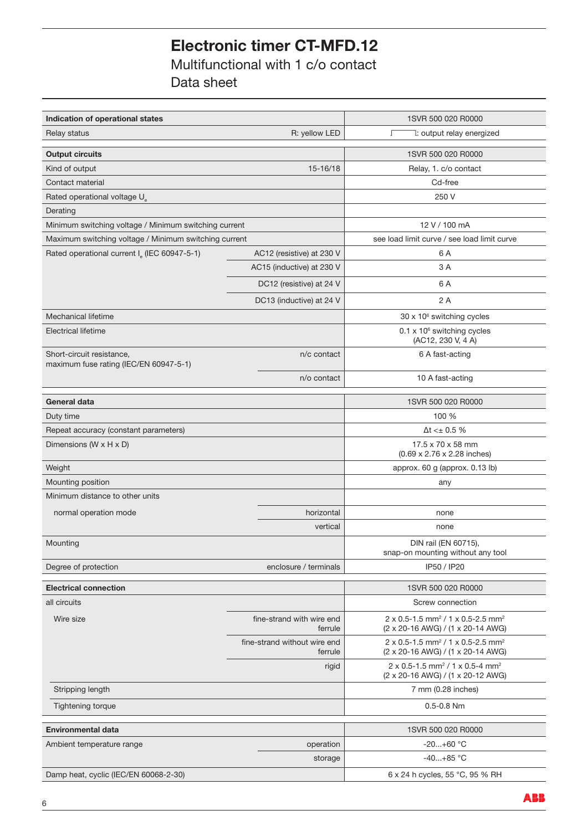Multifunctional with 1 c/o contact Data sheet

| Indication of operational states                                    |                                         | 1SVR 500 020 R0000                                                                                      |  |
|---------------------------------------------------------------------|-----------------------------------------|---------------------------------------------------------------------------------------------------------|--|
| Relay status                                                        | 1: output relay energized<br>T          |                                                                                                         |  |
| <b>Output circuits</b>                                              |                                         | 1SVR 500 020 R0000                                                                                      |  |
| Kind of output                                                      | 15-16/18                                | Relay, 1. c/o contact                                                                                   |  |
| Contact material                                                    |                                         | Cd-free                                                                                                 |  |
| Rated operational voltage U                                         |                                         | 250 V                                                                                                   |  |
| Derating                                                            |                                         |                                                                                                         |  |
| Minimum switching voltage / Minimum switching current               |                                         | 12 V / 100 mA                                                                                           |  |
| Maximum switching voltage / Minimum switching current               |                                         | see load limit curve / see load limit curve                                                             |  |
| Rated operational current I (IEC 60947-5-1)                         | AC12 (resistive) at 230 V               | 6 A                                                                                                     |  |
|                                                                     | AC15 (inductive) at 230 V               | 3 A                                                                                                     |  |
|                                                                     | DC12 (resistive) at 24 V                | 6 A                                                                                                     |  |
|                                                                     | DC13 (inductive) at 24 V                | 2 A                                                                                                     |  |
| Mechanical lifetime                                                 |                                         | 30 x 10° switching cycles                                                                               |  |
| <b>Electrical lifetime</b>                                          |                                         | $0.1 \times 10^6$ switching cycles<br>(AC12, 230 V, 4 A)                                                |  |
| Short-circuit resistance,<br>maximum fuse rating (IEC/EN 60947-5-1) | n/c contact                             | 6 A fast-acting                                                                                         |  |
|                                                                     | n/o contact                             | 10 A fast-acting                                                                                        |  |
| <b>General data</b>                                                 |                                         | 1SVR 500 020 R0000                                                                                      |  |
| Duty time                                                           |                                         | 100 %                                                                                                   |  |
| Repeat accuracy (constant parameters)                               |                                         | $\Delta t \ll 0.5$ %                                                                                    |  |
| Dimensions (W x H x D)                                              |                                         | 17.5 x 70 x 58 mm<br>(0.69 x 2.76 x 2.28 inches)                                                        |  |
| Weight                                                              |                                         | approx. 60 g (approx. 0.13 lb)                                                                          |  |
| Mounting position                                                   |                                         | any                                                                                                     |  |
| Minimum distance to other units                                     |                                         |                                                                                                         |  |
| normal operation mode                                               | horizontal                              | none                                                                                                    |  |
|                                                                     | vertical                                | none                                                                                                    |  |
| Mounting                                                            |                                         | DIN rail (EN 60715),<br>snap-on mounting without any tool                                               |  |
| Degree of protection                                                | enclosure / terminals                   | IP50 / IP20                                                                                             |  |
| <b>Electrical connection</b>                                        |                                         | 1SVR 500 020 R0000                                                                                      |  |
| all circuits                                                        |                                         | Screw connection                                                                                        |  |
|                                                                     |                                         |                                                                                                         |  |
| Wire size                                                           | fine-strand with wire end<br>ferrule    | $2 \times 0.5$ -1.5 mm <sup>2</sup> / 1 x 0.5-2.5 mm <sup>2</sup><br>(2 x 20-16 AWG) / (1 x 20-14 AWG)  |  |
|                                                                     | fine-strand without wire end<br>ferrule | $2 \times 0.5 - 1.5$ mm <sup>2</sup> / 1 x 0.5-2.5 mm <sup>2</sup><br>(2 x 20-16 AWG) / (1 x 20-14 AWG) |  |
|                                                                     | rigid                                   | $2 \times 0.5 - 1.5$ mm <sup>2</sup> / 1 x 0.5-4 mm <sup>2</sup><br>(2 x 20-16 AWG) / (1 x 20-12 AWG)   |  |
| Stripping length                                                    |                                         | 7 mm (0.28 inches)                                                                                      |  |
| <b>Tightening torque</b>                                            | $0.5 - 0.8$ Nm                          |                                                                                                         |  |
| <b>Environmental data</b>                                           |                                         | 1SVR 500 020 R0000                                                                                      |  |
| Ambient temperature range                                           | operation                               | $-20+60$ °C                                                                                             |  |
|                                                                     | storage                                 | $-40+85$ °C                                                                                             |  |
| Damp heat, cyclic (IEC/EN 60068-2-30)                               |                                         | 6 x 24 h cycles, 55 °C, 95 % RH                                                                         |  |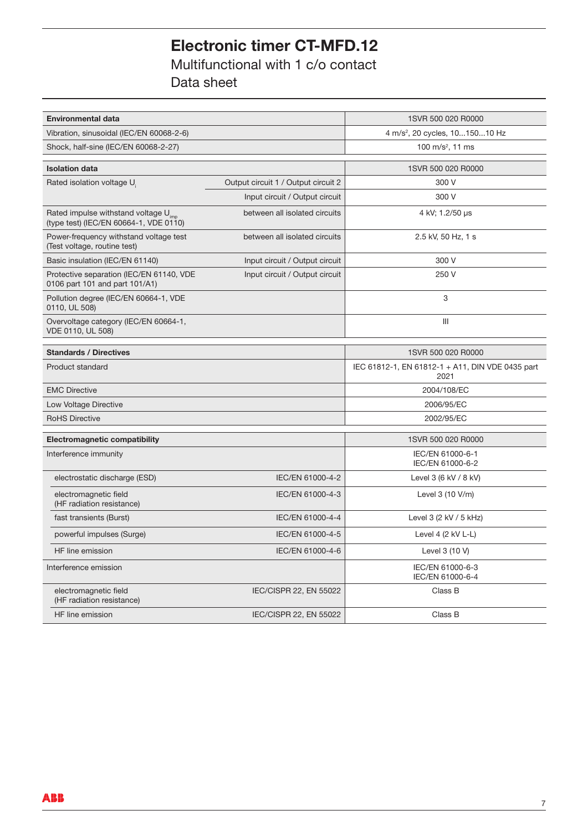Multifunctional with 1 c/o contact Data sheet

| <b>Environmental data</b>                                                                  | 1SVR 500 020 R0000                         |                                                          |
|--------------------------------------------------------------------------------------------|--------------------------------------------|----------------------------------------------------------|
| Vibration, sinusoidal (IEC/EN 60068-2-6)                                                   | 4 m/s <sup>2</sup> , 20 cycles, 1015010 Hz |                                                          |
| Shock, half-sine (IEC/EN 60068-2-27)                                                       | 100 m/s <sup>2</sup> , 11 ms               |                                                          |
| <b>Isolation data</b>                                                                      |                                            | 1SVR 500 020 R0000                                       |
| Rated isolation voltage U.                                                                 | Output circuit 1 / Output circuit 2        | 300 V                                                    |
|                                                                                            | Input circuit / Output circuit             | 300 V                                                    |
| Rated impulse withstand voltage U <sub>imp</sub><br>(type test) (IEC/EN 60664-1, VDE 0110) | between all isolated circuits              | 4 kV; 1.2/50 µs                                          |
| Power-frequency withstand voltage test<br>(Test voltage, routine test)                     | between all isolated circuits              | 2.5 kV, 50 Hz, 1 s                                       |
| Basic insulation (IEC/EN 61140)                                                            | Input circuit / Output circuit             | 300 V                                                    |
| Protective separation (IEC/EN 61140, VDE<br>0106 part 101 and part 101/A1)                 | Input circuit / Output circuit             | 250 V                                                    |
| Pollution degree (IEC/EN 60664-1, VDE<br>0110, UL 508)                                     |                                            | 3                                                        |
| Overvoltage category (IEC/EN 60664-1,<br>VDE 0110, UL 508)                                 |                                            | III                                                      |
| <b>Standards / Directives</b>                                                              |                                            | 1SVR 500 020 R0000                                       |
| <b>Product standard</b>                                                                    |                                            | IEC 61812-1, EN 61812-1 + A11, DIN VDE 0435 part<br>2021 |
| <b>EMC Directive</b>                                                                       |                                            | 2004/108/EC                                              |
| Low Voltage Directive                                                                      |                                            | 2006/95/EC                                               |
| <b>RoHS Directive</b>                                                                      |                                            | 2002/95/EC                                               |
| <b>Electromagnetic compatibility</b>                                                       |                                            | 1SVR 500 020 R0000                                       |
| Interference immunity                                                                      |                                            | IEC/EN 61000-6-1<br>IEC/EN 61000-6-2                     |
| electrostatic discharge (ESD)                                                              | IEC/EN 61000-4-2                           | Level 3 (6 kV / 8 kV)                                    |
| electromagnetic field<br>(HF radiation resistance)                                         | IEC/EN 61000-4-3                           | Level $3(10 V/m)$                                        |
| fast transients (Burst)                                                                    | IEC/EN 61000-4-4                           | Level $3$ (2 kV / 5 kHz)                                 |
| powerful impulses (Surge)                                                                  | IEC/EN 61000-4-5                           | Level 4 $(2$ kV L-L)                                     |
| HF line emission                                                                           | IEC/EN 61000-4-6                           | Level $3(10 V)$                                          |
| Interference emission                                                                      |                                            | IEC/EN 61000-6-3<br>IEC/EN 61000-6-4                     |
| electromagnetic field<br>(HF radiation resistance)                                         | IEC/CISPR 22, EN 55022                     | Class B                                                  |
| HF line emission                                                                           | IEC/CISPR 22, EN 55022                     | Class B                                                  |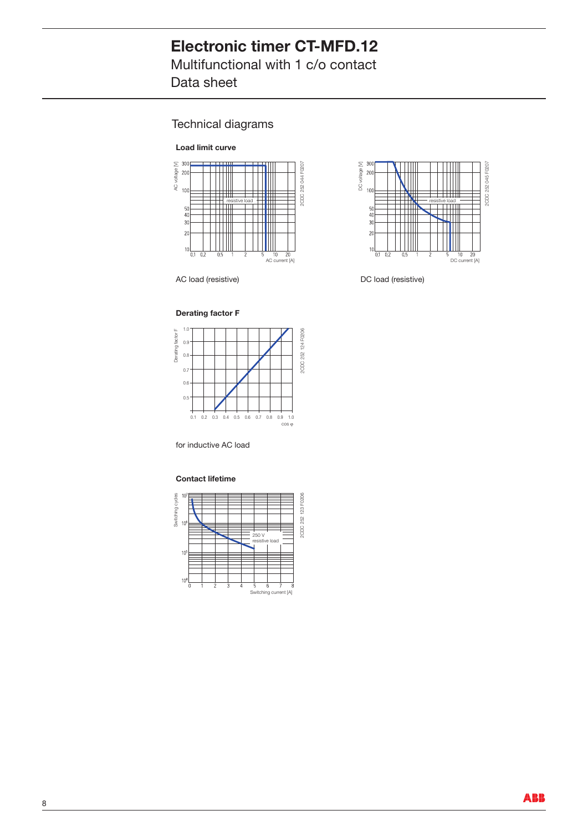Multifunctional with 1 c/o contact Data sheet

## Technical diagrams





AC load (resistive) and the DC load (resistive)

#### **Derating factor F**



for inductive AC load

#### **Contact lifetime**

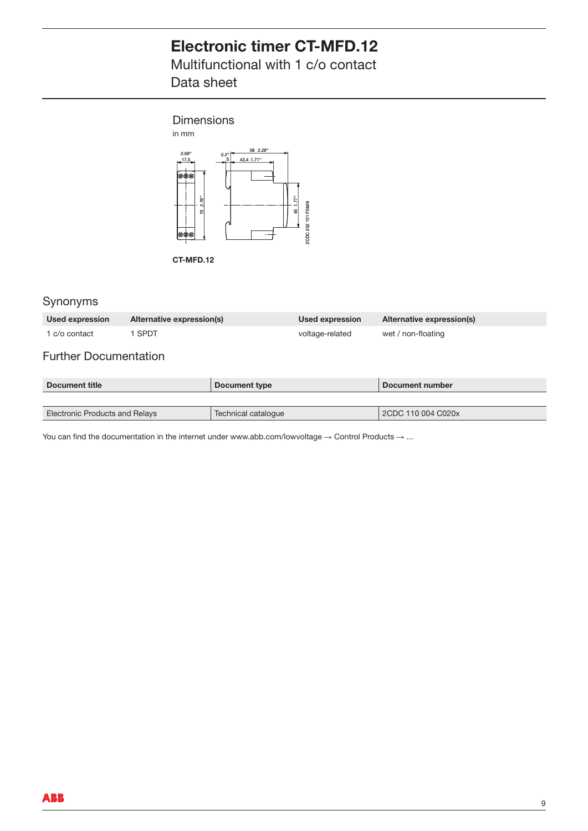Multifunctional with 1 c/o contact Data sheet



**CT-MFD.12**

## Synonyms

| Used expression | Alternative expression(s) | Used expression | Alternative expression(s) |
|-----------------|---------------------------|-----------------|---------------------------|
| 1 c/o contact   | SPDT                      | voltage-related | wet / non-floating        |

## Further Documentation

| Document title                 | Document type       | Document number    |  |
|--------------------------------|---------------------|--------------------|--|
|                                |                     |                    |  |
| Electronic Products and Relays | Technical catalogue | 2CDC 110 004 C020x |  |

You can find the documentation in the internet under www.abb.com/lowvoltage  $\rightarrow$  Control Products  $\rightarrow$  ...